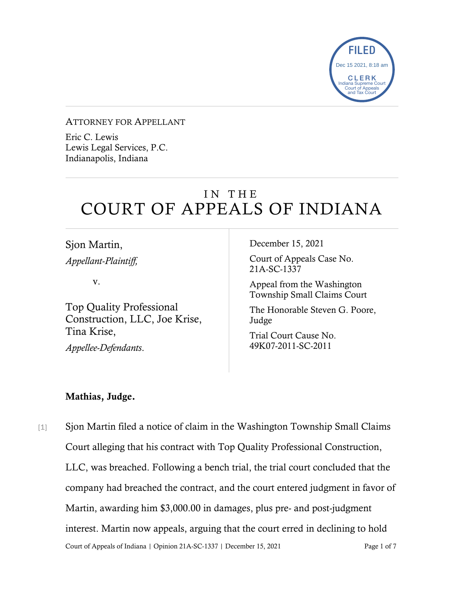

#### ATTORNEY FOR APPELLANT

Eric C. Lewis Lewis Legal Services, P.C. Indianapolis, Indiana

# IN THE COURT OF APPEALS OF INDIANA

Sjon Martin, *Appellant-Plaintiff,*

v.

Top Quality Professional Construction, LLC, Joe Krise, Tina Krise,

*Appellee-Defendants*.

December 15, 2021

Court of Appeals Case No. 21A-SC-1337

Appeal from the Washington Township Small Claims Court

The Honorable Steven G. Poore, Judge

Trial Court Cause No. 49K07-2011-SC-2011

### Mathias, Judge.

Court of Appeals of Indiana | Opinion 21A-SC-1337 | December 15, 2021 Page 1 of 7 [1] Sjon Martin filed a notice of claim in the Washington Township Small Claims Court alleging that his contract with Top Quality Professional Construction, LLC, was breached. Following a bench trial, the trial court concluded that the company had breached the contract, and the court entered judgment in favor of Martin, awarding him \$3,000.00 in damages, plus pre- and post-judgment interest. Martin now appeals, arguing that the court erred in declining to hold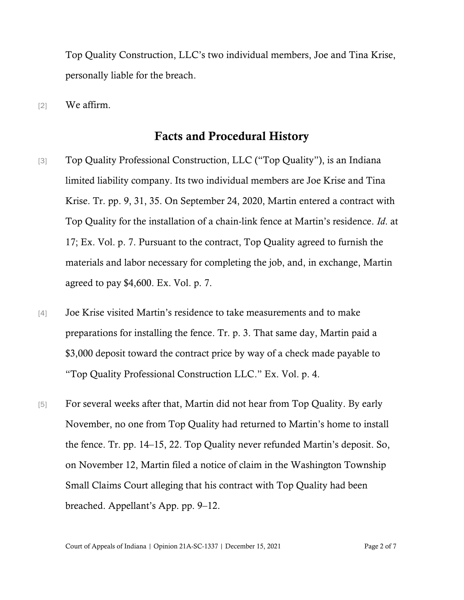Top Quality Construction, LLC's two individual members, Joe and Tina Krise, personally liable for the breach.

[2] We affirm.

## Facts and Procedural History

- [3] Top Quality Professional Construction, LLC ("Top Quality"), is an Indiana limited liability company. Its two individual members are Joe Krise and Tina Krise. Tr. pp. 9, 31, 35. On September 24, 2020, Martin entered a contract with Top Quality for the installation of a chain-link fence at Martin's residence. *Id*. at 17; Ex. Vol. p. 7. Pursuant to the contract, Top Quality agreed to furnish the materials and labor necessary for completing the job, and, in exchange, Martin agreed to pay \$4,600. Ex. Vol. p. 7.
- [4] Joe Krise visited Martin's residence to take measurements and to make preparations for installing the fence. Tr. p. 3. That same day, Martin paid a \$3,000 deposit toward the contract price by way of a check made payable to "Top Quality Professional Construction LLC." Ex. Vol. p. 4.
- [5] For several weeks after that, Martin did not hear from Top Quality. By early November, no one from Top Quality had returned to Martin's home to install the fence. Tr. pp. 14–15, 22. Top Quality never refunded Martin's deposit. So, on November 12, Martin filed a notice of claim in the Washington Township Small Claims Court alleging that his contract with Top Quality had been breached. Appellant's App. pp. 9–12.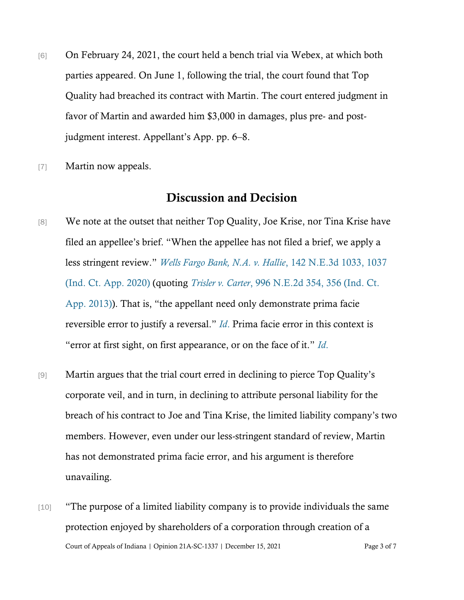- [6] On February 24, 2021, the court held a bench trial via Webex, at which both parties appeared. On June 1, following the trial, the court found that Top Quality had breached its contract with Martin. The court entered judgment in favor of Martin and awarded him \$3,000 in damages, plus pre- and postjudgment interest. Appellant's App. pp. 6–8.
- [7] Martin now appeals.

# Discussion and Decision

- [8] We note at the outset that neither Top Quality, Joe Krise, nor Tina Krise have filed an appellee's brief. "When the appellee has not filed a brief, we apply a less stringent review." *[Wells Fargo Bank, N.A. v. Hallie](https://www.westlaw.com/Document/I5f790070622c11eaa56f994ec64d0018/View/FullText.html?transitionType=Default&contextData=(sc.Default)&VR=3.0&RS=da3.0&fragmentIdentifier=co_pp_sp_7902_1037)*[, 142 N.E.3d 1033, 1037](https://www.westlaw.com/Document/I5f790070622c11eaa56f994ec64d0018/View/FullText.html?transitionType=Default&contextData=(sc.Default)&VR=3.0&RS=da3.0&fragmentIdentifier=co_pp_sp_7902_1037)  [\(Ind. Ct. App. 2020\)](https://www.westlaw.com/Document/I5f790070622c11eaa56f994ec64d0018/View/FullText.html?transitionType=Default&contextData=(sc.Default)&VR=3.0&RS=da3.0&fragmentIdentifier=co_pp_sp_7902_1037) (quoting *Trisler v. Carter*[, 996 N.E.2d 354, 356 \(Ind. Ct.](https://www.westlaw.com/Document/I37a898fb2aff11e380938e6f51729d80/View/FullText.html?transitionType=Default&contextData=(sc.Default)&VR=3.0&RS=da3.0&fragmentIdentifier=co_pp_sp_578_356)  [App. 2013\)](https://www.westlaw.com/Document/I37a898fb2aff11e380938e6f51729d80/View/FullText.html?transitionType=Default&contextData=(sc.Default)&VR=3.0&RS=da3.0&fragmentIdentifier=co_pp_sp_578_356)). That is, "the appellant need only demonstrate prima facie reversible error to justify a reversal." *[Id](https://www.westlaw.com/Document/I5f790070622c11eaa56f994ec64d0018/View/FullText.html?transitionType=Default&contextData=(sc.Default)&VR=3.0&RS=cblt1.0)*[.](https://www.westlaw.com/Document/I5f790070622c11eaa56f994ec64d0018/View/FullText.html?transitionType=Default&contextData=(sc.Default)&VR=3.0&RS=cblt1.0) Prima facie error in this context is "error at first sight, on first appearance, or on the face of it." *[Id](https://www.westlaw.com/Document/I5f790070622c11eaa56f994ec64d0018/View/FullText.html?transitionType=Default&contextData=(sc.Default)&VR=3.0&RS=cblt1.0)*[.](https://www.westlaw.com/Document/I5f790070622c11eaa56f994ec64d0018/View/FullText.html?transitionType=Default&contextData=(sc.Default)&VR=3.0&RS=cblt1.0)
- [9] Martin argues that the trial court erred in declining to pierce Top Quality's corporate veil, and in turn, in declining to attribute personal liability for the breach of his contract to Joe and Tina Krise, the limited liability company's two members. However, even under our less-stringent standard of review, Martin has not demonstrated prima facie error, and his argument is therefore unavailing.
- Court of Appeals of Indiana | Opinion 21A-SC-1337 | December 15, 2021 Page 3 of 7 [10] "The purpose of a limited liability company is to provide individuals the same protection enjoyed by shareholders of a corporation through creation of a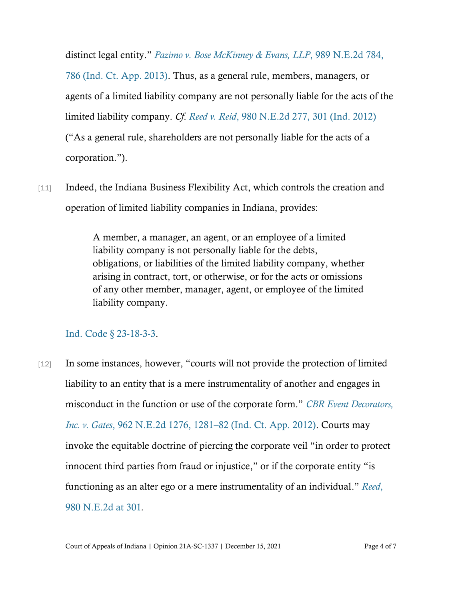distinct legal entity." *[Pazimo v. Bose McKinney & Evans, LLP](https://www.westlaw.com/Document/I520dd02cb1da11e2a555d241dae65084/View/FullText.html?transitionType=Default&contextData=(sc.Default)&VR=3.0&RS=da3.0&fragmentIdentifier=co_pp_sp_578_786)*[, 989 N.E.2d 784,](https://www.westlaw.com/Document/I520dd02cb1da11e2a555d241dae65084/View/FullText.html?transitionType=Default&contextData=(sc.Default)&VR=3.0&RS=da3.0&fragmentIdentifier=co_pp_sp_578_786)  [786 \(Ind. Ct. App. 2013\).](https://www.westlaw.com/Document/I520dd02cb1da11e2a555d241dae65084/View/FullText.html?transitionType=Default&contextData=(sc.Default)&VR=3.0&RS=da3.0&fragmentIdentifier=co_pp_sp_578_786) Thus, as a general rule, members, managers, or agents of a limited liability company are not personally liable for the acts of the limited liability company. *Cf*. *[Reed v. Reid](https://www.westlaw.com/Document/I386ee3eb4a1b11e280719c3f0e80bdd0/View/FullText.html?transitionType=Default&contextData=(sc.Default)&VR=3.0&RS=da3.0&fragmentIdentifier=co_pp_sp_578_301)*, [980 N.E.2d 277, 301 \(Ind. 2012\)](https://www.westlaw.com/Document/I386ee3eb4a1b11e280719c3f0e80bdd0/View/FullText.html?transitionType=Default&contextData=(sc.Default)&VR=3.0&RS=da3.0&fragmentIdentifier=co_pp_sp_578_301) ("As a general rule, shareholders are not personally liable for the acts of a corporation.").

[11] Indeed, the Indiana Business Flexibility Act, which controls the creation and operation of limited liability companies in Indiana, provides:

> A member, a manager, an agent, or an employee of a limited liability company is not personally liable for the debts, obligations, or liabilities of the limited liability company, whether arising in contract, tort, or otherwise, or for the acts or omissions of any other member, manager, agent, or employee of the limited liability company.

### [Ind. Code § 23-18-3-3.](https://www.westlaw.com/Document/N0DF99580815711DB8132CD13D2280436/View/FullText.html?transitionType=Default&contextData=(sc.Default)&VR=3.0&RS=da3.0)

[12] In some instances, however, "courts will not provide the protection of limited liability to an entity that is a mere instrumentality of another and engages in misconduct in the function or use of the corporate form." *[CBR Event Decorators,](https://www.westlaw.com/Document/If68e3ce0689811e1b71fa7764cbfcb47/View/FullText.html?transitionType=Default&contextData=(sc.Default)&VR=3.0&RS=da3.0&fragmentIdentifier=co_pp_sp_578_1281)  Inc. v. Gates*[, 962 N.E.2d 1276, 1281](https://www.westlaw.com/Document/If68e3ce0689811e1b71fa7764cbfcb47/View/FullText.html?transitionType=Default&contextData=(sc.Default)&VR=3.0&RS=da3.0&fragmentIdentifier=co_pp_sp_578_1281)–82 (Ind. Ct. App. 2012). Courts may invoke the equitable doctrine of piercing the corporate veil "in order to protect innocent third parties from fraud or injustice," or if the corporate entity "is functioning as an alter ego or a mere instrumentality of an individual." *[Reed](https://www.westlaw.com/Document/I386ee3eb4a1b11e280719c3f0e80bdd0/View/FullText.html?transitionType=Default&contextData=(sc.Default)&VR=3.0&RS=da3.0&fragmentIdentifier=co_pp_sp_578_301)*[,](https://www.westlaw.com/Document/I386ee3eb4a1b11e280719c3f0e80bdd0/View/FullText.html?transitionType=Default&contextData=(sc.Default)&VR=3.0&RS=da3.0&fragmentIdentifier=co_pp_sp_578_301)  [980 N.E.2d at 301](https://www.westlaw.com/Document/I386ee3eb4a1b11e280719c3f0e80bdd0/View/FullText.html?transitionType=Default&contextData=(sc.Default)&VR=3.0&RS=da3.0&fragmentIdentifier=co_pp_sp_578_301)*.*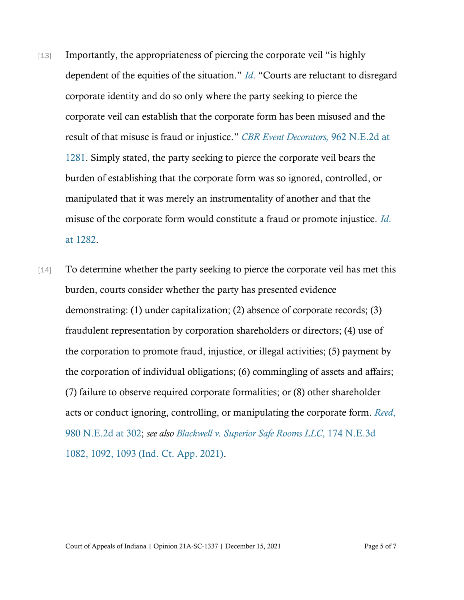- [13] Importantly, the appropriateness of piercing the corporate veil "is highly" dependent of the equities of the situation." *[Id](https://www.westlaw.com/Document/I386ee3eb4a1b11e280719c3f0e80bdd0/View/FullText.html?transitionType=Default&contextData=(sc.Default)&VR=3.0&RS=cblt1.0)*. "Courts are reluctant to disregard corporate identity and do so only where the party seeking to pierce the corporate veil can establish that the corporate form has been misused and the result of that misuse is fraud or injustice." *[CBR Event Decorators,](https://www.westlaw.com/Document/If68e3ce0689811e1b71fa7764cbfcb47/View/FullText.html?transitionType=Default&contextData=(sc.Default)&VR=3.0&RS=da3.0&fragmentIdentifier=co_pp_sp_578_1281)* 962 N.E.2d [at](https://www.westlaw.com/Document/If68e3ce0689811e1b71fa7764cbfcb47/View/FullText.html?transitionType=Default&contextData=(sc.Default)&VR=3.0&RS=da3.0&fragmentIdentifier=co_pp_sp_578_1281)  [1281.](https://www.westlaw.com/Document/If68e3ce0689811e1b71fa7764cbfcb47/View/FullText.html?transitionType=Default&contextData=(sc.Default)&VR=3.0&RS=da3.0&fragmentIdentifier=co_pp_sp_578_1281) Simply stated, the party seeking to pierce the corporate veil bears the burden of establishing that the corporate form was so ignored, controlled, or manipulated that it was merely an instrumentality of another and that the misuse of the corporate form would constitute a fraud or promote injustice. *[Id](https://www.westlaw.com/Document/If68e3ce0689811e1b71fa7764cbfcb47/View/FullText.html?transitionType=Default&contextData=(sc.Default)&VR=3.0&RS=da3.0&fragmentIdentifier=co_pp_sp_578_1282)*[.](https://www.westlaw.com/Document/If68e3ce0689811e1b71fa7764cbfcb47/View/FullText.html?transitionType=Default&contextData=(sc.Default)&VR=3.0&RS=da3.0&fragmentIdentifier=co_pp_sp_578_1282)  [at 1282.](https://www.westlaw.com/Document/If68e3ce0689811e1b71fa7764cbfcb47/View/FullText.html?transitionType=Default&contextData=(sc.Default)&VR=3.0&RS=da3.0&fragmentIdentifier=co_pp_sp_578_1282)
- [14] To determine whether the party seeking to pierce the corporate veil has met this burden, courts consider whether the party has presented evidence demonstrating: (1) under capitalization; (2) absence of corporate records; (3) fraudulent representation by corporation shareholders or directors; (4) use of the corporation to promote fraud, injustice, or illegal activities; (5) payment by the corporation of individual obligations; (6) commingling of assets and affairs; (7) failure to observe required corporate formalities; or (8) other shareholder acts or conduct ignoring, controlling, or manipulating the corporate form. *[Reed](https://www.westlaw.com/Document/I386ee3eb4a1b11e280719c3f0e80bdd0/View/FullText.html?transitionType=Default&contextData=(sc.Default)&VR=3.0&RS=da3.0&fragmentIdentifier=co_pp_sp_578_302)*[,](https://www.westlaw.com/Document/I386ee3eb4a1b11e280719c3f0e80bdd0/View/FullText.html?transitionType=Default&contextData=(sc.Default)&VR=3.0&RS=da3.0&fragmentIdentifier=co_pp_sp_578_302)  [980 N.E.2d at 302;](https://www.westlaw.com/Document/I386ee3eb4a1b11e280719c3f0e80bdd0/View/FullText.html?transitionType=Default&contextData=(sc.Default)&VR=3.0&RS=da3.0&fragmentIdentifier=co_pp_sp_578_302) *see also [Blackwell v. Superior Safe Rooms LLC](https://www.westlaw.com/Document/I2fdedc60df7e11eba48ad8c74eab983c/View/FullText.html?transitionType=Default&contextData=(sc.Default)&VR=3.0&RS=da3.0&fragmentIdentifier=co_pp_sp_7902_1092%2c+1093)*[, 174 N.E.3d](https://www.westlaw.com/Document/I2fdedc60df7e11eba48ad8c74eab983c/View/FullText.html?transitionType=Default&contextData=(sc.Default)&VR=3.0&RS=da3.0&fragmentIdentifier=co_pp_sp_7902_1092%2c+1093)  [1082, 1092, 1093 \(Ind. Ct. App. 2021\).](https://www.westlaw.com/Document/I2fdedc60df7e11eba48ad8c74eab983c/View/FullText.html?transitionType=Default&contextData=(sc.Default)&VR=3.0&RS=da3.0&fragmentIdentifier=co_pp_sp_7902_1092%2c+1093)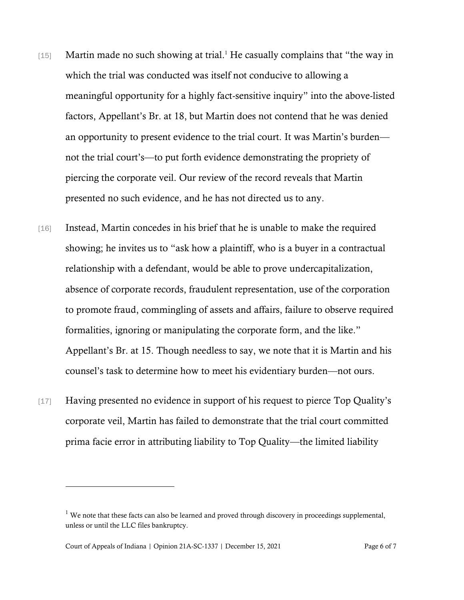- [15] Martin made no such showing at trial.<sup>1</sup> He casually complains that "the way in which the trial was conducted was itself not conducive to allowing a meaningful opportunity for a highly fact-sensitive inquiry" into the above-listed factors, Appellant's Br. at 18, but Martin does not contend that he was denied an opportunity to present evidence to the trial court. It was Martin's burden not the trial court's—to put forth evidence demonstrating the propriety of piercing the corporate veil. Our review of the record reveals that Martin presented no such evidence, and he has not directed us to any.
- [16] Instead, Martin concedes in his brief that he is unable to make the required showing; he invites us to "ask how a plaintiff, who is a buyer in a contractual relationship with a defendant, would be able to prove undercapitalization, absence of corporate records, fraudulent representation, use of the corporation to promote fraud, commingling of assets and affairs, failure to observe required formalities, ignoring or manipulating the corporate form, and the like." Appellant's Br. at 15. Though needless to say, we note that it is Martin and his counsel's task to determine how to meet his evidentiary burden—not ours.
- [17] Having presented no evidence in support of his request to pierce Top Quality's corporate veil, Martin has failed to demonstrate that the trial court committed prima facie error in attributing liability to Top Quality—the limited liability

 $<sup>1</sup>$  We note that these facts can also be learned and proved through discovery in proceedings supplemental,</sup> unless or until the LLC files bankruptcy.

Court of Appeals of Indiana | Opinion 21A-SC-1337 | December 15, 2021 Page 6 of 7